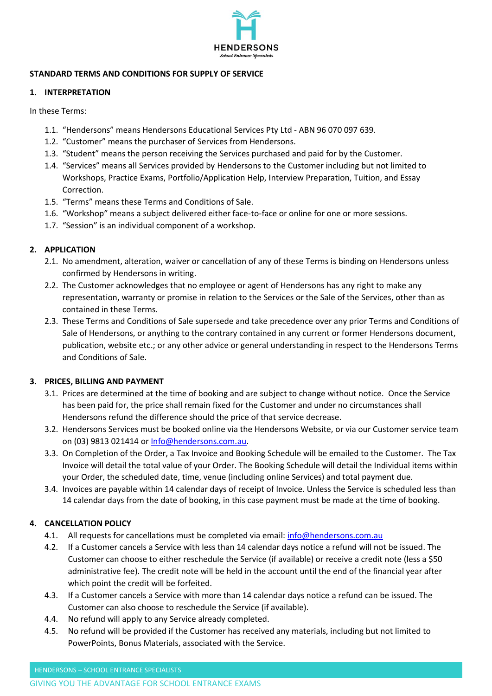

### **STANDARD TERMS AND CONDITIONS FOR SUPPLY OF SERVICE**

### **1. INTERPRETATION**

In these Terms:

- 1.1. "Hendersons" means Hendersons Educational Services Pty Ltd ABN 96 070 097 639.
- 1.2. "Customer" means the purchaser of Services from Hendersons.
- 1.3. "Student" means the person receiving the Services purchased and paid for by the Customer.
- 1.4. "Services" means all Services provided by Hendersons to the Customer including but not limited to Workshops, Practice Exams, Portfolio/Application Help, Interview Preparation, Tuition, and Essay Correction.
- 1.5. "Terms" means these Terms and Conditions of Sale.
- 1.6. "Workshop" means a subject delivered either face-to-face or online for one or more sessions.
- 1.7. "Session" is an individual component of a workshop.

### **2. APPLICATION**

- 2.1. No amendment, alteration, waiver or cancellation of any of these Terms is binding on Hendersons unless confirmed by Hendersons in writing.
- 2.2. The Customer acknowledges that no employee or agent of Hendersons has any right to make any representation, warranty or promise in relation to the Services or the Sale of the Services, other than as contained in these Terms.
- 2.3. These Terms and Conditions of Sale supersede and take precedence over any prior Terms and Conditions of Sale of Hendersons, or anything to the contrary contained in any current or former Hendersons document, publication, website etc.; or any other advice or general understanding in respect to the Hendersons Terms and Conditions of Sale.

# **3. PRICES, BILLING AND PAYMENT**

- 3.1. Prices are determined at the time of booking and are subject to change without notice. Once the Service has been paid for, the price shall remain fixed for the Customer and under no circumstances shall Hendersons refund the difference should the price of that service decrease.
- 3.2. Hendersons Services must be booked online via the Hendersons Website, or via our Customer service team on (03) 9813 021414 or [Info@hendersons.com.au.](mailto:Info@hendersons.com.au)
- 3.3. On Completion of the Order, a Tax Invoice and Booking Schedule will be emailed to the Customer. The Tax Invoice will detail the total value of your Order. The Booking Schedule will detail the Individual items within your Order, the scheduled date, time, venue (including online Services) and total payment due.
- 3.4. Invoices are payable within 14 calendar days of receipt of Invoice. Unless the Service is scheduled less than 14 calendar days from the date of booking, in this case payment must be made at the time of booking.

# **4. CANCELLATION POLICY**

- 4.1. All requests for cancellations must be completed via email: [info@hendersons.com.au](mailto:info@hendersons.com.au)
- 4.2. If a Customer cancels a Service with less than 14 calendar days notice a refund will not be issued. The Customer can choose to either reschedule the Service (if available) or receive a credit note (less a \$50 administrative fee). The credit note will be held in the account until the end of the financial year after which point the credit will be forfeited.
- 4.3. If a Customer cancels a Service with more than 14 calendar days notice a refund can be issued. The Customer can also choose to reschedule the Service (if available).
- 4.4. No refund will apply to any Service already completed.
- 4.5. No refund will be provided if the Customer has received any materials, including but not limited to PowerPoints, Bonus Materials, associated with the Service.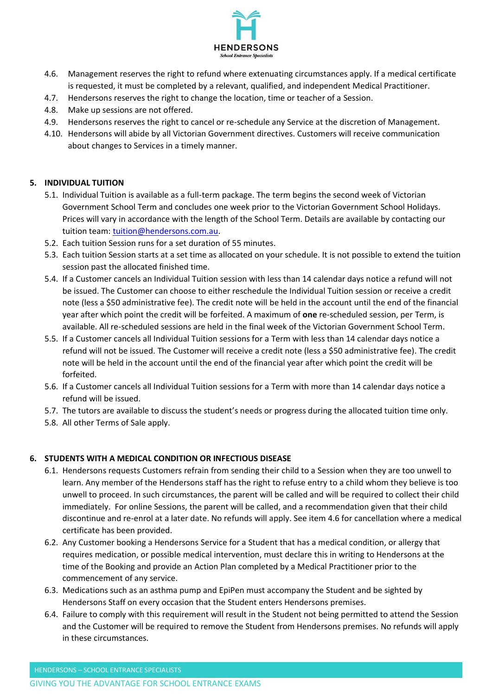

- 4.6. Management reserves the right to refund where extenuating circumstances apply. If a medical certificate is requested, it must be completed by a relevant, qualified, and independent Medical Practitioner.
- 4.7. Hendersons reserves the right to change the location, time or teacher of a Session.
- 4.8. Make up sessions are not offered.
- 4.9. Hendersons reserves the right to cancel or re-schedule any Service at the discretion of Management.
- 4.10. Hendersons will abide by all Victorian Government directives. Customers will receive communication about changes to Services in a timely manner.

# **5. INDIVIDUAL TUITION**

- 5.1. Individual Tuition is available as a full-term package. The term begins the second week of Victorian Government School Term and concludes one week prior to the Victorian Government School Holidays. Prices will vary in accordance with the length of the School Term. Details are available by contacting our tuition team: [tuition@hendersons.com.au.](mailto:tuition@hendersons.com.au)
- 5.2. Each tuition Session runs for a set duration of 55 minutes.
- 5.3. Each tuition Session starts at a set time as allocated on your schedule. It is not possible to extend the tuition session past the allocated finished time.
- 5.4. If a Customer cancels an Individual Tuition session with less than 14 calendar days notice a refund will not be issued. The Customer can choose to either reschedule the Individual Tuition session or receive a credit note (less a \$50 administrative fee). The credit note will be held in the account until the end of the financial year after which point the credit will be forfeited. A maximum of **one** re-scheduled session, per Term, is available. All re-scheduled sessions are held in the final week of the Victorian Government School Term.
- 5.5. If a Customer cancels all Individual Tuition sessions for a Term with less than 14 calendar days notice a refund will not be issued. The Customer will receive a credit note (less a \$50 administrative fee). The credit note will be held in the account until the end of the financial year after which point the credit will be forfeited.
- 5.6. If a Customer cancels all Individual Tuition sessions for a Term with more than 14 calendar days notice a refund will be issued.
- 5.7. The tutors are available to discuss the student's needs or progress during the allocated tuition time only.
- 5.8. All other Terms of Sale apply.

# **6. STUDENTS WITH A MEDICAL CONDITION OR INFECTIOUS DISEASE**

- 6.1. Hendersons requests Customers refrain from sending their child to a Session when they are too unwell to learn. Any member of the Hendersons staff has the right to refuse entry to a child whom they believe is too unwell to proceed. In such circumstances, the parent will be called and will be required to collect their child immediately. For online Sessions, the parent will be called, and a recommendation given that their child discontinue and re-enrol at a later date. No refunds will apply. See item 4.6 for cancellation where a medical certificate has been provided.
- 6.2. Any Customer booking a Hendersons Service for a Student that has a medical condition, or allergy that requires medication, or possible medical intervention, must declare this in writing to Hendersons at the time of the Booking and provide an Action Plan completed by a Medical Practitioner prior to the commencement of any service.
- 6.3. Medications such as an asthma pump and EpiPen must accompany the Student and be sighted by Hendersons Staff on every occasion that the Student enters Hendersons premises.
- 6.4. Failure to comply with this requirement will result in the Student not being permitted to attend the Session and the Customer will be required to remove the Student from Hendersons premises. No refunds will apply in these circumstances.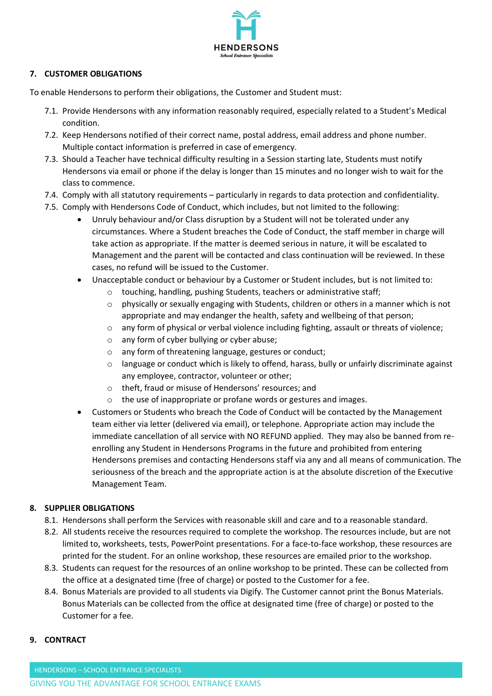

# **7. CUSTOMER OBLIGATIONS**

To enable Hendersons to perform their obligations, the Customer and Student must:

- 7.1. Provide Hendersons with any information reasonably required, especially related to a Student's Medical condition.
- 7.2. Keep Hendersons notified of their correct name, postal address, email address and phone number. Multiple contact information is preferred in case of emergency.
- 7.3. Should a Teacher have technical difficulty resulting in a Session starting late, Students must notify Hendersons via email or phone if the delay is longer than 15 minutes and no longer wish to wait for the class to commence.
- 7.4. Comply with all statutory requirements particularly in regards to data protection and confidentiality.
- 7.5. Comply with Hendersons Code of Conduct, which includes, but not limited to the following:
	- Unruly behaviour and/or Class disruption by a Student will not be tolerated under any circumstances. Where a Student breaches the Code of Conduct, the staff member in charge will take action as appropriate. If the matter is deemed serious in nature, it will be escalated to Management and the parent will be contacted and class continuation will be reviewed. In these cases, no refund will be issued to the Customer.
	- Unacceptable conduct or behaviour by a Customer or Student includes, but is not limited to:
		- o touching, handling, pushing Students, teachers or administrative staff;
		- $\circ$  physically or sexually engaging with Students, children or others in a manner which is not appropriate and may endanger the health, safety and wellbeing of that person;
		- o any form of physical or verbal violence including fighting, assault or threats of violence;
		- o any form of cyber bullying or cyber abuse;
		- o any form of threatening language, gestures or conduct;
		- $\circ$  language or conduct which is likely to offend, harass, bully or unfairly discriminate against any employee, contractor, volunteer or other;
		- o theft, fraud or misuse of Hendersons' resources; and
		- o the use of inappropriate or profane words or gestures and images.
	- Customers or Students who breach the Code of Conduct will be contacted by the Management team either via letter (delivered via email), or telephone. Appropriate action may include the immediate cancellation of all service with NO REFUND applied. They may also be banned from reenrolling any Student in Hendersons Programs in the future and prohibited from entering Hendersons premises and contacting Hendersons staff via any and all means of communication. The seriousness of the breach and the appropriate action is at the absolute discretion of the Executive Management Team.

# **8. SUPPLIER OBLIGATIONS**

- 8.1. Hendersons shall perform the Services with reasonable skill and care and to a reasonable standard.
- 8.2. All students receive the resources required to complete the workshop. The resources include, but are not limited to, worksheets, tests, PowerPoint presentations. For a face-to-face workshop, these resources are printed for the student. For an online workshop, these resources are emailed prior to the workshop.
- 8.3. Students can request for the resources of an online workshop to be printed. These can be collected from the office at a designated time (free of charge) or posted to the Customer for a fee.
- 8.4. Bonus Materials are provided to all students via Digify. The Customer cannot print the Bonus Materials. Bonus Materials can be collected from the office at designated time (free of charge) or posted to the Customer for a fee.

### **9. CONTRACT**